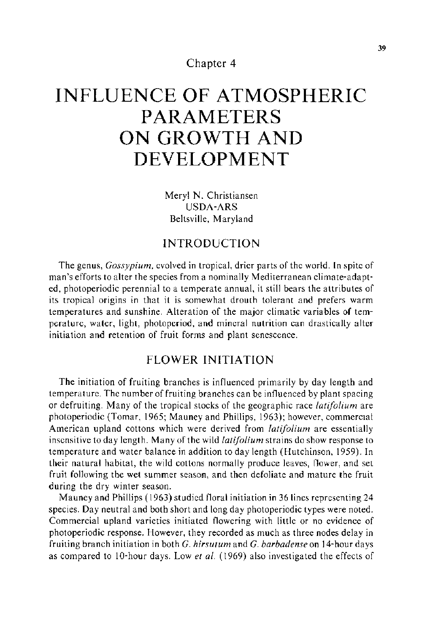Chapter 4

# **INFLUENCE OF ATMOSPHERIC PARAMETERS ON GROWTH AND DEVELOPMENT**

Meryl N. Christiansen USDA-ARS Beltsville, Maryland

# INTRODUCTION

The genus, *Gossypium,* evolved in tropical, drier parts of the world. In spite of man's efforts to alter the species from a nominally Mediterranean climate-adapted, photoperiodic perennial to a temperate annual, it still bears the attributes of its tropical origins in that it is somewhat drouth tolerant and prefers warm temperatures and sunshine. Alteration of the major climatic variables of temperature, water, light, photoperiod, and mineral nutrition can drastically alter initiation and retention of fruit forms and plant senescence.

## FLOWER INITIATION

The initiation of fruiting branches is influenced primarily by day length and temperature. The number of fruiting branches can be influenced by plant spacing or defruiting. Many of the tropical stocks of the geographic race *latifolium* are photoperiodic (Tomar, 1965; Mauney and Phillips, 1963); however, commercial American upland cottons which were derived from *latifolium* are essentially insensitive to day length. Many of the wild *latifolium* strains do show response to temperature and water balance in addition to day length (Hutchinson, 1959). In their natural habitat, the wild cottons normally produce leaves, flower, and set fruit following the wet summer season, and then defoliate and mature the fruit during the dry winter season.

Mauney and Phillips ( 1963) studied floral initiation in 36 lines representing 24 species. Day neutral and both short and long day photoperiodic types were noted. Commercial upland varieties initiated flowering with little or no evidence of photoperiodic response. However, they recorded as much as three nodes delay in fruiting branch initiation in both *G. hirsutum* and *G. barbadense* on 14-hour days as compared to 10-hour days. Low *et a!.* (1969) also investigated the effects of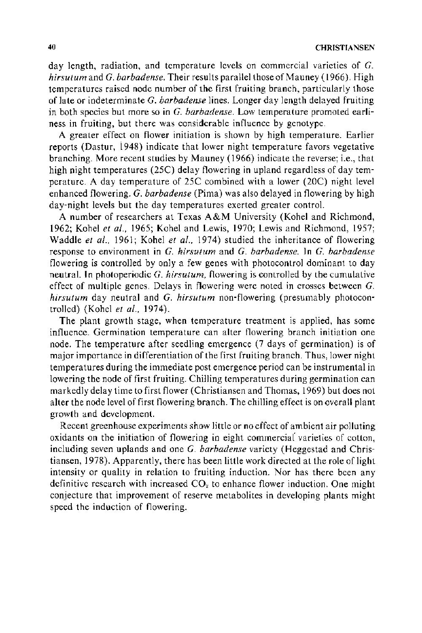day length, radiation, and temperature levels on commercial varieties of G. *hirsutum* and *G. barbadense.* Their results parallel those of Mauney (1966). High temperatures raised node number of the first fruiting branch, particularly those of late or indeterminate G. *barbadense* lines. Longer day length delayed fruiting in both species but more so in *G. barbadense.* Low temperature promoted earliness in fruiting, but there was considerable influence by genotype.

A greater effect on flower initiation is shown by high temperature. Earlier reports (Dastur, 1948) indicate that lower night temperature favors vegetative branching. More recent studies by Mauney ( 1966) indicate the reverse; i.e., that high night temperatures (25C) delay flowering in upland regardless of day temperature. A day temperature of 25C combined with a lower (20C) night level enhanced flowering. G. *barbadense* (Pima) was also delayed in flowering by high day-night levels but the day temperatures exerted greater control.

A number of researchers at Texas A&M University (Kohel and Richmond, 1962; Kohel *et a/.,* 1965; Kohel and Lewis, 1970; Lewis and Richmond, 1957; Waddle *et al.*, 1961; Kohel *et al.*, 1974) studied the inheritance of flowering response to environment in *G. hirsutum* and *G. barbadense.* In *G. barbadense*  flowering is controlled by only a few genes with photocontrol dominant to day neutral. In photoperiodic G. *hirsutum,* flowering is controlled by the cumulative effect of multiple genes. Delays in flowering were noted in crosses between *G. hirsutum* day neutral and *G. hirsutum* non-flowering (presumably photocontrolled) (Kohel *et al.,* 1974).

The plant growth stage, when temperature treatment is applied, has some influence. Germination temperature can alter flowering branch initiation one node. The temperature after seedling emergence (7 days of germination) is of major importance in differentiation of the first fruiting branch. Thus, lower night temperatures during the immediate post emergence period can be instrumental in lowering the node of first fruiting. Chilling temperatures during germination can markedly delay time to first flower (Christiansen and Thomas, 1969) but does not alter the node level of first flowering branch. The chilling effect is on overall plant growth and development.

Recent greenhouse experiments show little or no effect of ambient air polluting oxidants on the initiation of flowering in eight commercial varieties of cotton, including seven uplands and one *G. barbadense* variety (Heggestad and Christiansen, 1978). Apparently, there has been little work directed at the role of light intensity or quality in relation to fruiting induction. Nor has there been any definitive research with increased  $CO<sub>2</sub>$  to enhance flower induction. One might conjecture that improvement of reserve metabolites in developing plants might speed the induction of flowering.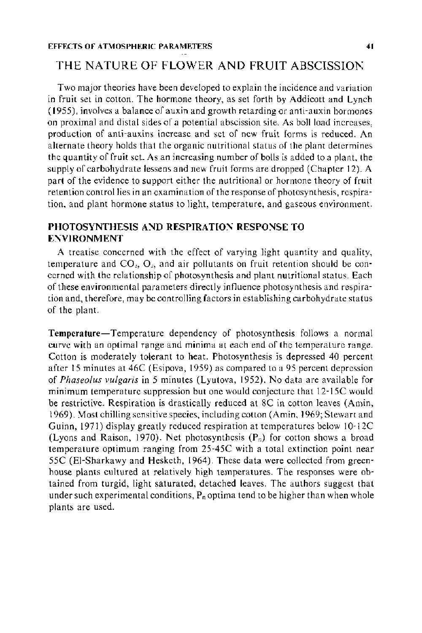# THE NATURE OF FLOWER AND FRUIT ABSCISSION

Two major theories have been developed to explain the incidence and variation in fruit set in cotton. The hormone theory, as set forth by Addicott and Lynch ( 1955), involves a balance of auxin and growth retarding or anti-auxin hormones on proximal and distal sides of a potential abscission site. As boll load increases, production of anti-auxins increase and set of new fruit forms is reduced. An alternate theory holds that the organic nutritional status of the plant determines the quantity of fruit set. As an increasing number of bolls is added to a plant, the supply of carbohydrate lessens and new fruit forms are dropped (Chapter 12). A part of the evidence to support either the nutritional or hormone theory of fruit retention control lies in an examination of the response of photosynthesis, respiration, and plant hormone status to light, temperature, and gaseous environment.

### PHOTOSYNTHESIS AND RESPIRATION RESPONSE TO ENVIRONMENT

A treatise concerned with the effect of varying light quantity and quality, temperature and  $CO<sub>2</sub>$ ,  $O<sub>2</sub>$ , and air pollutants on fruit retention should be concerned with the relationship of photosynthesis and plant nutritional status. Each of these environmental parameters directly influence photosynthesis and respiration and, therefore, may be controlling factors in establishing carbohydrate status of the plant.

Temperature-Temperature dependency of photosynthesis follows a normal curve with an optimal range and minima at each end of the temperature range. Cotton is moderately tolerant to heat. Photosynthesis is depressed 40 percent after 15 minutes at 46C (Esipova, 1959) as compared to a 95 percent depression of *Phaseolus vulgaris* in 5 minutes (Lyutova, 1952). No data are available for minimum temperature suppression but one would conjecture that 12-15C would be restrictive. Respiration is drastically reduced at 8C in cotton leaves (Amin, 1969). Most chilling sensitive species, including cotton (Amin, 1969; Stewart and Guinn, 1971) display greatly reduced respiration at temperatures below  $10-12C$ (Lyons and Raison, 1970). Net photosynthesis  $(P_n)$  for cotton shows a broad temperature optimum ranging from 25-45C with a total extinction point near 55C (EI-Sharkawy and Hesketh, 1964). These data were collected from greenhouse plants cultured at relatively high temperatures. The responses were obtained from turgid, light saturated, detached leaves. The authors suggest that under such experimental conditions,  $P_n$  optima tend to be higher than when whole plants are used.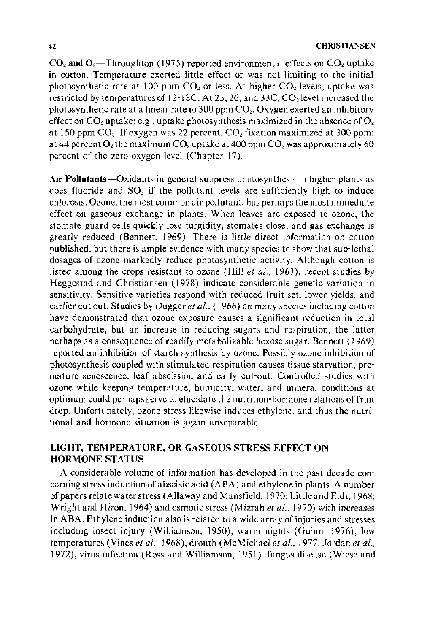$CO<sub>2</sub>$  and  $O<sub>2</sub>$ —Throughton (1975) reported environmental effects on  $CO<sub>2</sub>$  uptake in cotton. Temperature exerted little effect or was not limiting to the initial photosynthetic rate at 100 ppm  $CO<sub>2</sub>$  or less. At higher  $CO<sub>2</sub>$  levels, uptake was restricted by temperatures of 12-18C. At 23, 26, and 33C, CO<sub>2</sub> level increased the photosynthetic rate at a linear rate to 300 ppm  $CO<sub>2</sub>$ . Oxygen exerted an inhibitory effect on  $CO_2$  uptake; e.g., uptake photosynthesis maximized in the absence of  $O_2$ at 150 ppm  $CO<sub>2</sub>$ . If oxygen was 22 percent,  $CO<sub>2</sub>$  fixation maximized at 300 ppm; at 44 percent O<sub>2</sub> the maximum CO<sub>2</sub> uptake at 400 ppm CO<sub>2</sub> was approximately 60 percent of the zero oxygen level (Chapter 17).

Air Pollutants-Oxidants in general suppress photosynthesis in higher plants as does fluoride and  $SO<sub>2</sub>$  if the pollutant levels are sufficiently high to induce chlorosis. Ozone, the most common air pollutant, has perhaps the most immediate effect on gaseous exchange in plants. When leaves are exposed to ozone, the stomate guard cells quickly lose turgidity, stomates close, and gas exchange is greatly reduced (Bennett, 1969). There is little direct information on cotton published, but there is ample evidence with many species to show that sub-lethal dosages of ozone markedly reduce photosynthetic activity. Although cotton is listed among the crops resistant to ozone (Hill *et a!.,* 1961), recent studies by Heggestad and Christiansen (1978) indicate considerable genetic variation in sensitivity. Sensitive varieties respond with reduced fruit set, lower yields, and earlier cut out. Studies by Dugger et al., (1966) on many species including cotton have demonstrated that ozone exposure causes a significant reduction in total carbohydrate, but an increase in reducing sugars and respiration, the latter perhaps as a consequence of readily metabolizable hexose sugar. Bennett ( 1969) reported an inhibition of starch synthesis by ozone. Possibly ozone inhibition of photosynthesis coupled with stimulated respiration causes tissue starvation, premature senescence, leaf abscission and early cut-out. Controlled studies with ozone while keeping temperature, humidity, water, and mineral conditions at optimum could perhaps serve to elucidate the nutrition-hormone relations of fruit drop. Unfortunately, ozone stress likewise induces ethylene, and thus the nutritional and hormone situation is again unseparable.

## LIGHT, TEMPERATURE, OR GASEOUS STRESS EFFECT ON HORMONE STATUS

A considerable volume of information has developed in the past decade concerning stress induction of abscisic acid (ABA) and ethylene in plants. A number of papers relate water stress (Allaway and Mansfield, 1970; Little and Eidt, 1968; Wright and Hiron, 1964) and osmotic stress (Mizrah *eta/.,* 1970) with increases in ABA. Ethylene induction also is related to a wide array of injuries and stresses including insect injury (Williamson, 1950), warm nights (Guinn, 1976), low temperatures (Vines *eta!.,* 1968), drouth (McMichael *eta!.,* 1977; Jordan *et al.,*  1972), virus infection (Ross and Williamson, 1951), fungus disease (Wiese and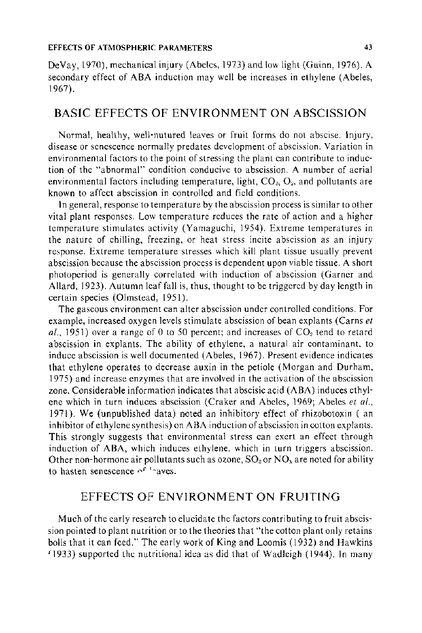#### EFFECTS OF ATMOSPHERIC PARAMETERS 43

De Vay, 1970), mechanical injury (Abeles, 1973) and low light (Guinn, 1976). A secondary effect of ABA induction may well be increases in ethylene (Abeles, 1967).

# BASIC EFFECTS OF ENVIRONMENT ON ABSCISSION

Normal, healthy, well-nutured leaves or fruit forms do not abscise. Injury, disease or senescence normally predates development of abscission. Variation in environmental factors to the point of stressing the plant can contribute to induction of the "abnormal" condition conducive to abscission. A number of aerial environmental factors including temperature, light, *C02, 02,* and pollutants are known to affect abscission in controlled and field conditions.

In general, response to temperature by the abscission process is similar to other vital plant responses. Low temperature reduces the rate of action and a higher temperature stimulates activity (Yamaguchi, 1954). Extreme temperatures in the nature of chilling, freezing, or heat stress incite abscission as an injury response. Extreme temperature stresses which kill plant tissue usually prevent abscission because the abscission process is dependent upon viable tissue. A short photoperiod is generally correlated with induction of abscission (Garner and Allard, 1923). Autumn leaf fall is, thus, thought to be triggered by day length in certain species (Olmstead, 1951 ).

The gaseous environment can alter abscission under controlled conditions. For example, increased oxygen levels stimulate abscission of bean ex plants (Carns *et*  al., 1951) over a range of 0 to 50 percent; and increases of CO<sub>2</sub> tend to retard abscission in explants. The ability of ethylene, a natural air contaminant. to induce abscission is well documented (Abeles, 1967). Present evidence indicates that ethylene operates to decrease auxin in the petiole (Morgan and Durham, 1975) and increase enzymes that are involved in the activation of the abscission zone. Considerable information indicates that abscisic acid (ABA) induces ethylene which in turn induces abscission (Craker and Abeles, 1969; Abeles *et al.,*  1971 ). We (unpublished data) noted an inhibitory effect of rhizobotoxin ( an inhibitor of ethylene synthesis) on ABA induction of abscission in cotton cxplants. This strongly suggests that environmental stress can exert an effect through induction of ABA, which induces ethylene. which in turn triggers abscission. Other non-hormone air pollutants such as ozone,  $SO_2$  or  $NO_x$  are noted for ability to hasten senescence  $e^{f^{-1}x}$ aves.

## EFFECTS OF ENVIRONMENT ON FRUITING

Much of the early research to elucidate the factors contributing to fruit abscission pointed to plant nutrition or to the theories that "the cotton plant only retains bolls that it can feed." The early work of King and Loomis (1932) and Hawkins  $f(1933)$  supported the nutritional idea as did that of Wadleigh (1944). In many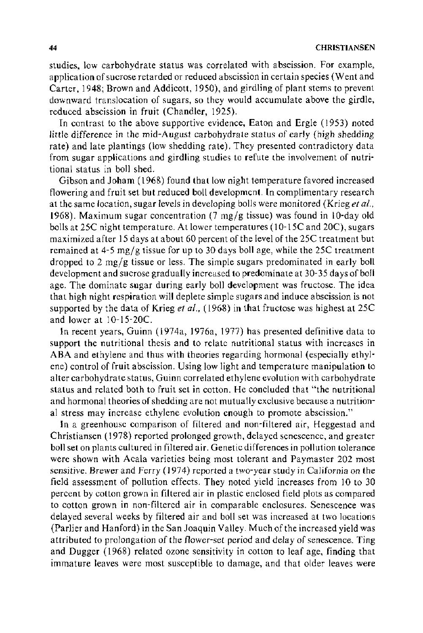studies, low carbohydrate status was correlated with abscission. For example, application of sucrose retarded or reduced abscission in certain species (Went and Carter, 1948; Brown and Addicott, 1950), and girdling of plant stems to prevent downward translocation of sugars, so they would accumulate above the girdle, reduced abscission in fruit (Chandler, 1925).

In contrast to the above supportive evidence, Eaton and Ergle (1953) noted little difference in the mid-August carbohydrate status of early (high shedding rate) and late plantings (low shedding rate). They presented contradictory data from sugar applications and girdling studies to refute the involvement of nutritional status in boll shed.

Gibson and Joham ( 1968) found that low night temperature favored increased flowering and fruit set but reduced boll development. In complimentary research at the same location, sugar levels in developing bolls were monitored (Krieg *et al.,*  1968). Maximum sugar concentration  $(7 \text{ mg/g tissue})$  was found in 10-day old bolls at 25C night temperature. At lower temperatures (10-15C and 20C), sugars maximized after 15 days at about 60 percent of the level of the 25C treatment but remained at  $4-5$  mg/g tissue for up to 30 days boll age, while the 25C treatment dropped to 2 mg/g tissue or less. The simple sugars predominated in early boll development and sucrose gradually increased to predominate at 30-35 days of boll age. The dominate sugar during early boll development was fructose. The idea that high night respiration will deplete simple sugars and induce abscission is not supported by the data of Krieg *et a!.,* ( 1968) in that fructose was highest at 25C and lower at  $10-15-20C$ .

In recent years, Guinn (1974a, 1976a, 1977) has presented definitive data to support the nutritional thesis and to relate nutritional status with increases in ABA and ethylene and thus with theories regarding hormonal (especially ethylene) control of fruit abscission. Using low light and temperature manipulation to alter carbohydrate status, Guinn correlated ethylene evolution with carbohydrate status and related both to fruit set in cotton. He concluded that "the nutritional and hormonal theories of shedding are not mutually exclusive because a nutritional stress may increase ethylene evolution enough to promote abscission."

In a greenhouse comparison of filtered and non-filtered air, Heggestad and Christiansen ( 1978) reported prolonged growth, delayed senescence, and greater boll set on plants cultured in filtered air. Genetic differences in pollution tolerance were shown with Acala varieties being most tolerant and Paymaster 202 most sensitive. Brewer and Ferry (1974) reported a two-year study in California on the field assessment of pollution effects. They noted yield increases from 10 to 30 percent by cotton grown in filtered air in plastic enclosed field plots as compared to cotton grown in non-filtered air in comparable enclosures. Senescence was delayed several weeks by filtered air and boll set was increased at two locations (Parlier and Hanford) in the San Joaquin Valley. Much of the increased yield was attributed to prolongation of the flower-set period and delay of senescence. Ting and Dugger ( 1968) related ozone sensitivity in cotton to leaf age, finding that immature leaves were most susceptible to damage, and that older leaves were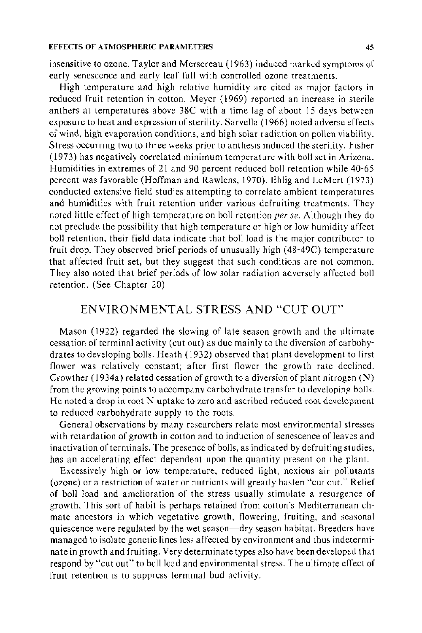insensitive to ozone. Taylor and Mersereau ( 1963) induced marked symptoms of early senescence and early leaf fall with controlled ozone treatments.

High temperature and high relative humidity are cited as major factors in reduced fruit retention in cotton. Meyer (1969) reported an increase in sterile anthers at temperatures above 38C with a time lag of about 15 days between exposure to heat and expression of sterility. Sarvella ( 1966) noted adverse effects of wind, high evaporation conditions, and high solar radiation on pollen viability. Stress occurring two to three weeks prior to anthesis induced the sterility. Fisher (1973) has negatively correlated minimum temperature with boll set in Arizona. Humidities in extremes of 21 and 90 percent reduced boll retention while 40-65 percent was favorable (Hoffman and Raw lens, 1970). Ehlig and LeMert ( 1973) conducted extensive field studies attempting to correlate ambient temperatures and humidities with fruit retention under various defruiting treatments. They noted little effect of high temperature on boll retention *per se.* Although they do not preclude the possibility that high temperature or high or low humidity affect boll retention, their field data indicate that boll load is the major contributor to fruit drop. They observed brief periods of unusually high ( 48-49C) temperature that affected fruit set, but they suggest that such conditions are not common. They also noted that brief periods of low solar radiation adversely affected boll retention. (See Chapter 20)

## ENVIRONMENTAL STRESS AND "CUT OUT'

Mason ( 1922) regarded the slowing of late season growth and the ultimate cessation of terminal activity (cut out) as due mainly to the diversion of carbohydrates to developing bolls. Heath ( 1932) observed that plant development to first flower was relatively constant; after first flower the growth rate declined. Crowther ( 1934a) related cessation of growth to a diversion of plant nitrogen (N) from the growing points to accompany carbohydrate transfer to developing bolls. He noted a drop in root N uptake to zero and ascribed reduced root development to reduced carbohydrate supply to the roots.

General observations by many researchers relate most environmental stresses with retardation of growth in cotton and to induction of senescence of leaves and inactivation of terminals. The presence of bolls, as indicated by defruiting studies, has an accelerating effect dependent upon the quantity present on the plant.

Excessively high or low temperature, reduced light, noxious air pollutants (ozone) or a restriction of water or nutrients will greatly hasten "cut out.'" Relief of boll load and amelioration of the stress usually stimulate a resurgence of growth. This sort of habit is perhaps retained from cotton's Mediterranean climate ancestors in which vegetative growth, flowering, fruiting, and seasonal quiescence were regulated by the wet season-dry season habitat. Breeders have managed to isolate genetic lines less affected by environment and thus indeterminate in growth and fruiting. Very determinate types also have been developed that respond by "cut out"' to boll load and environmental stress. The ultimate effect of fruit retention is to suppress terminal bud activity.